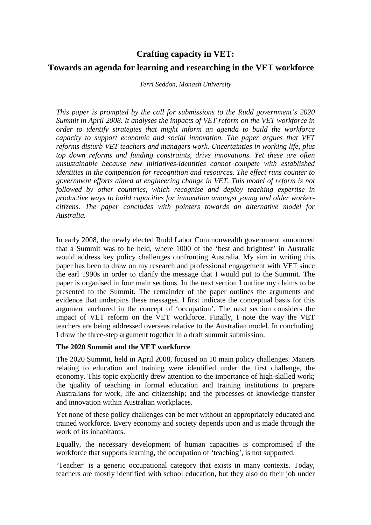# **Crafting capacity in VET:**

## **Towards an agenda for learning and researching in the VET workforce**

#### *Terri Seddon, Monash University*

*This paper is prompted by the call for submissions to the Rudd government's 2020 Summit in April 2008. It analyses the impacts of VET reform on the VET workforce in order to identify strategies that might inform an agenda to build the workforce capacity to support economic and social innovation. The paper argues that VET reforms disturb VET teachers and managers work. Uncertainties in working life, plus top down reforms and funding constraints, drive innovations. Yet these are often unsustainable because new initiatives-identities cannot compete with established identities in the competition for recognition and resources. The effect runs counter to government efforts aimed at engineering change in VET. This model of reform is not followed by other countries, which recognise and deploy teaching expertise in productive ways to build capacities for innovation amongst young and older workercitizens. The paper concludes with pointers towards an alternative model for Australia.* 

In early 2008, the newly elected Rudd Labor Commonwealth government announced that a Summit was to be held, where 1000 of the 'best and brightest' in Australia would address key policy challenges confronting Australia. My aim in writing this paper has been to draw on my research and professional engagement with VET since the earl 1990s in order to clarify the message that I would put to the Summit. The paper is organised in four main sections. In the next section I outline my claims to be presented to the Summit. The remainder of the paper outlines the arguments and evidence that underpins these messages. I first indicate the conceptual basis for this argument anchored in the concept of 'occupation'. The next section considers the impact of VET reform on the VET workforce. Finally, I note the way the VET teachers are being addressed overseas relative to the Australian model. In concluding, I draw the three-step argument together in a draft summit submission.

## **The 2020 Summit and the VET workforce**

The 2020 Summit, held in April 2008, focused on 10 main policy challenges. Matters relating to education and training were identified under the first challenge, the economy. This topic explicitly drew attention to the importance of high-skilled work; the quality of teaching in formal education and training institutions to prepare Australians for work, life and citizenship; and the processes of knowledge transfer and innovation within Australian workplaces.

Yet none of these policy challenges can be met without an appropriately educated and trained workforce. Every economy and society depends upon and is made through the work of its inhabitants.

Equally, the necessary development of human capacities is compromised if the workforce that supports learning, the occupation of 'teaching', is not supported.

'Teacher' is a generic occupational category that exists in many contexts. Today, teachers are mostly identified with school education, but they also do their job under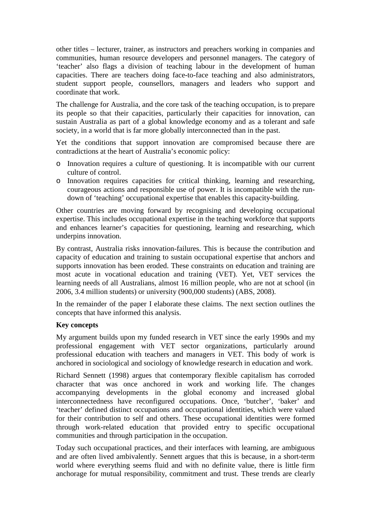other titles – lecturer, trainer, as instructors and preachers working in companies and communities, human resource developers and personnel managers. The category of 'teacher' also flags a division of teaching labour in the development of human capacities. There are teachers doing face-to-face teaching and also administrators, student support people, counsellors, managers and leaders who support and coordinate that work.

The challenge for Australia, and the core task of the teaching occupation, is to prepare its people so that their capacities, particularly their capacities for innovation, can sustain Australia as part of a global knowledge economy and as a tolerant and safe society, in a world that is far more globally interconnected than in the past.

Yet the conditions that support innovation are compromised because there are contradictions at the heart of Australia's economic policy:

- o Innovation requires a culture of questioning. It is incompatible with our current culture of control.
- o Innovation requires capacities for critical thinking, learning and researching, courageous actions and responsible use of power. It is incompatible with the rundown of 'teaching' occupational expertise that enables this capacity-building.

Other countries are moving forward by recognising and developing occupational expertise. This includes occupational expertise in the teaching workforce that supports and enhances learner's capacities for questioning, learning and researching, which underpins innovation.

By contrast, Australia risks innovation-failures. This is because the contribution and capacity of education and training to sustain occupational expertise that anchors and supports innovation has been eroded. These constraints on education and training are most acute in vocational education and training (VET). Yet, VET services the learning needs of all Australians, almost 16 million people, who are not at school (in 2006, 3.4 million students) or university (900,000 students) (ABS, 2008).

In the remainder of the paper I elaborate these claims. The next section outlines the concepts that have informed this analysis.

#### **Key concepts**

My argument builds upon my funded research in VET since the early 1990s and my professional engagement with VET sector organizations, particularly around professional education with teachers and managers in VET. This body of work is anchored in sociological and sociology of knowledge research in education and work.

Richard Sennett (1998) argues that contemporary flexible capitalism has corroded character that was once anchored in work and working life. The changes accompanying developments in the global economy and increased global interconnectedness have reconfigured occupations. Once, 'butcher', 'baker' and 'teacher' defined distinct occupations and occupational identities, which were valued for their contribution to self and others. These occupational identities were formed through work-related education that provided entry to specific occupational communities and through participation in the occupation.

Today such occupational practices, and their interfaces with learning, are ambiguous and are often lived ambivalently. Sennett argues that this is because, in a short-term world where everything seems fluid and with no definite value, there is little firm anchorage for mutual responsibility, commitment and trust. These trends are clearly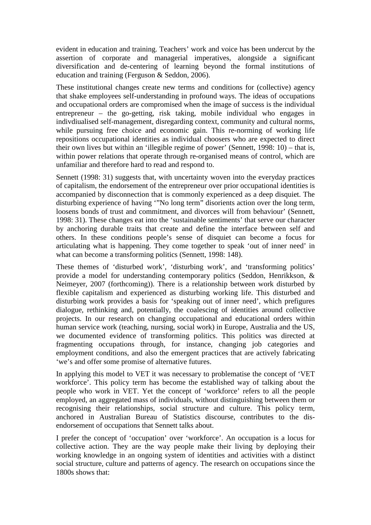evident in education and training. Teachers' work and voice has been undercut by the assertion of corporate and managerial imperatives, alongside a significant diversification and de-centering of learning beyond the formal institutions of education and training (Ferguson & Seddon, 2006).

These institutional changes create new terms and conditions for (collective) agency that shake employees self-understanding in profound ways. The ideas of occupations and occupational orders are compromised when the image of success is the individual entrepreneur – the go-getting, risk taking, mobile individual who engages in indivdiualised self-management, disregarding context, community and cultural norms, while pursuing free choice and economic gain. This re-norming of working life repositions occupational identities as individual choosers who are expected to direct their own lives but within an 'illegible regime of power' (Sennett, 1998: 10) – that is, within power relations that operate through re-organised means of control, which are unfamiliar and therefore hard to read and respond to.

Sennett (1998: 31) suggests that, with uncertainty woven into the everyday practices of capitalism, the endorsement of the entrepreneur over prior occupational identities is accompanied by disconnection that is commonly experienced as a deep disquiet. The disturbing experience of having '"No long term" disorients action over the long term, loosens bonds of trust and commitment, and divorces will from behaviour' (Sennett, 1998: 31). These changes eat into the 'sustainable sentiments' that serve our character by anchoring durable traits that create and define the interface between self and others. In these conditions people's sense of disquiet can become a focus for articulating what is happening. They come together to speak 'out of inner need' in what can become a transforming politics (Sennett, 1998: 148).

These themes of 'disturbed work', 'disturbing work', and 'transforming politics' provide a model for understanding contemporary politics (Seddon, Henrikkson, & Neimeyer, 2007 (forthcoming)). There is a relationship between work disturbed by flexible capitalism and experienced as disturbing working life. This disturbed and disturbing work provides a basis for 'speaking out of inner need', which prefigures dialogue, rethinking and, potentially, the coalescing of identities around collective projects. In our research on changing occupational and educational orders within human service work (teaching, nursing, social work) in Europe, Australia and the US, we documented evidence of transforming politics. This politics was directed at fragmenting occupations through, for instance, changing job categories and employment conditions, and also the emergent practices that are actively fabricating 'we's and offer some promise of alternative futures.

In applying this model to VET it was necessary to problematise the concept of 'VET workforce'. This policy term has become the established way of talking about the people who work in VET. Yet the concept of 'workforce' refers to all the people employed, an aggregated mass of individuals, without distinguishing between them or recognising their relationships, social structure and culture. This policy term, anchored in Australian Bureau of Statistics discourse, contributes to the disendorsement of occupations that Sennett talks about.

I prefer the concept of 'occupation' over 'workforce'. An occupation is a locus for collective action. They are the way people make their living by deploying their working knowledge in an ongoing system of identities and activities with a distinct social structure, culture and patterns of agency. The research on occupations since the 1800s shows that: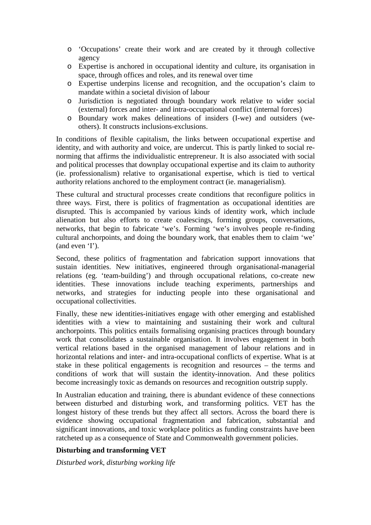- o 'Occupations' create their work and are created by it through collective agency
- o Expertise is anchored in occupational identity and culture, its organisation in space, through offices and roles, and its renewal over time
- o Expertise underpins license and recognition, and the occupation's claim to mandate within a societal division of labour
- o Jurisdiction is negotiated through boundary work relative to wider social (external) forces and inter- and intra-occupational conflict (internal forces)
- o Boundary work makes delineations of insiders (I-we) and outsiders (weothers). It constructs inclusions-exclusions.

In conditions of flexible capitalism, the links between occupational expertise and identity, and with authority and voice, are undercut. This is partly linked to social renorming that affirms the individualistic entrepreneur. It is also associated with social and political processes that downplay occupational expertise and its claim to authority (ie. professionalism) relative to organisational expertise, which is tied to vertical authority relations anchored to the employment contract (ie. managerialism).

These cultural and structural processes create conditions that reconfigure politics in three ways. First, there is politics of fragmentation as occupational identities are disrupted. This is accompanied by various kinds of identity work, which include alienation but also efforts to create coalescings, forming groups, conversations, networks, that begin to fabricate 'we's. Forming 'we's involves people re-finding cultural anchorpoints, and doing the boundary work, that enables them to claim 'we' (and even 'I').

Second, these politics of fragmentation and fabrication support innovations that sustain identities. New initiatives, engineered through organisational-managerial relations (eg. 'team-building') and through occupational relations, co-create new identities. These innovations include teaching experiments, partnerships and networks, and strategies for inducting people into these organisational and occupational collectivities.

Finally, these new identities-initiatives engage with other emerging and established identities with a view to maintaining and sustaining their work and cultural anchorpoints. This politics entails formalising organising practices through boundary work that consolidates a sustainable organisation. It involves engagement in both vertical relations based in the organised management of labour relations and in horizontal relations and inter- and intra-occupational conflicts of expertise. What is at stake in these political engagements is recognition and resources – the terms and conditions of work that will sustain the identity-innovation. And these politics become increasingly toxic as demands on resources and recognition outstrip supply.

In Australian education and training, there is abundant evidence of these connections between disturbed and disturbing work, and transforming politics. VET has the longest history of these trends but they affect all sectors. Across the board there is evidence showing occupational fragmentation and fabrication, substantial and significant innovations, and toxic workplace politics as funding constraints have been ratcheted up as a consequence of State and Commonwealth government policies.

## **Disturbing and transforming VET**

*Disturbed work, disturbing working life*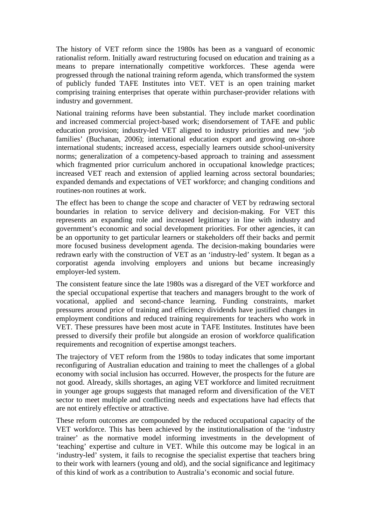The history of VET reform since the 1980s has been as a vanguard of economic rationalist reform. Initially award restructuring focused on education and training as a means to prepare internationally competitive workforces. These agenda were progressed through the national training reform agenda, which transformed the system of publicly funded TAFE Institutes into VET. VET is an open training market comprising training enterprises that operate within purchaser-provider relations with industry and government.

National training reforms have been substantial. They include market coordination and increased commercial project-based work; disendorsement of TAFE and public education provision; industry-led VET aligned to industry priorities and new 'job families' (Buchanan, 2006); international education export and growing on-shore international students; increased access, especially learners outside school-university norms; generalization of a competency-based approach to training and assessment which fragmented prior curriculum anchored in occupational knowledge practices; increased VET reach and extension of applied learning across sectoral boundaries; expanded demands and expectations of VET workforce; and changing conditions and routines-non routines at work.

The effect has been to change the scope and character of VET by redrawing sectoral boundaries in relation to service delivery and decision-making. For VET this represents an expanding role and increased legitimacy in line with industry and government's economic and social development priorities. For other agencies, it can be an opportunity to get particular learners or stakeholders off their backs and permit more focused business development agenda. The decision-making boundaries were redrawn early with the construction of VET as an 'industry-led' system. It began as a corporatist agenda involving employers and unions but became increasingly employer-led system.

The consistent feature since the late 1980s was a disregard of the VET workforce and the special occupational expertise that teachers and managers brought to the work of vocational, applied and second-chance learning. Funding constraints, market pressures around price of training and efficiency dividends have justified changes in employment conditions and reduced training requirements for teachers who work in VET. These pressures have been most acute in TAFE Institutes. Institutes have been pressed to diversify their profile but alongside an erosion of workforce qualification requirements and recognition of expertise amongst teachers.

The trajectory of VET reform from the 1980s to today indicates that some important reconfiguring of Australian education and training to meet the challenges of a global economy with social inclusion has occurred. However, the prospects for the future are not good. Already, skills shortages, an aging VET workforce and limited recruitment in younger age groups suggests that managed reform and diversification of the VET sector to meet multiple and conflicting needs and expectations have had effects that are not entirely effective or attractive.

These reform outcomes are compounded by the reduced occupational capacity of the VET workforce. This has been achieved by the institutionalisation of the 'industry trainer' as the normative model informing investments in the development of 'teaching' expertise and culture in VET. While this outcome may be logical in an 'industry-led' system, it fails to recognise the specialist expertise that teachers bring to their work with learners (young and old), and the social significance and legitimacy of this kind of work as a contribution to Australia's economic and social future.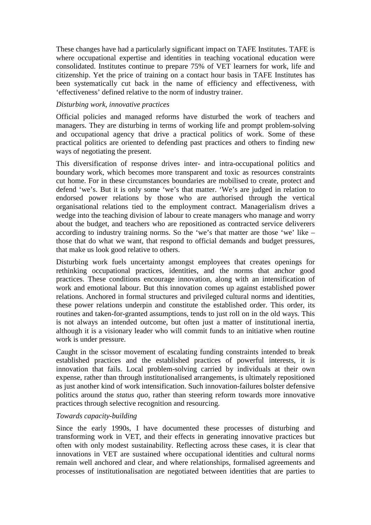These changes have had a particularly significant impact on TAFE Institutes. TAFE is where occupational expertise and identities in teaching vocational education were consolidated. Institutes continue to prepare 75% of VET learners for work, life and citizenship. Yet the price of training on a contact hour basis in TAFE Institutes has been systematically cut back in the name of efficiency and effectiveness, with 'effectiveness' defined relative to the norm of industry trainer.

#### *Disturbing work, innovative practices*

Official policies and managed reforms have disturbed the work of teachers and managers. They are disturbing in terms of working life and prompt problem-solving and occupational agency that drive a practical politics of work. Some of these practical politics are oriented to defending past practices and others to finding new ways of negotiating the present.

This diversification of response drives inter- and intra-occupational politics and boundary work, which becomes more transparent and toxic as resources constraints cut home. For in these circumstances boundaries are mobilised to create, protect and defend 'we's. But it is only some 'we's that matter. 'We's are judged in relation to endorsed power relations by those who are authorised through the vertical organisational relations tied to the employment contract. Managerialism drives a wedge into the teaching division of labour to create managers who manage and worry about the budget, and teachers who are repositioned as contracted service deliverers according to industry training norms. So the 'we's that matter are those 'we' like – those that do what we want, that respond to official demands and budget pressures, that make us look good relative to others.

Disturbing work fuels uncertainty amongst employees that creates openings for rethinking occupational practices, identities, and the norms that anchor good practices. These conditions encourage innovation, along with an intensification of work and emotional labour. But this innovation comes up against established power relations. Anchored in formal structures and privileged cultural norms and identities, these power relations underpin and constitute the established order. This order, its routines and taken-for-granted assumptions, tends to just roll on in the old ways. This is not always an intended outcome, but often just a matter of institutional inertia, although it is a visionary leader who will commit funds to an initiative when routine work is under pressure.

Caught in the scissor movement of escalating funding constraints intended to break established practices and the established practices of powerful interests, it is innovation that fails. Local problem-solving carried by individuals at their own expense, rather than through institutionalised arrangements, is ultimately repositioned as just another kind of work intensification. Such innovation-failures bolster defensive politics around the *status quo*, rather than steering reform towards more innovative practices through selective recognition and resourcing.

#### *Towards capacity-building*

Since the early 1990s, I have documented these processes of disturbing and transforming work in VET, and their effects in generating innovative practices but often with only modest sustainability. Reflecting across these cases, it is clear that innovations in VET are sustained where occupational identities and cultural norms remain well anchored and clear, and where relationships, formalised agreements and processes of institutionalisation are negotiated between identities that are parties to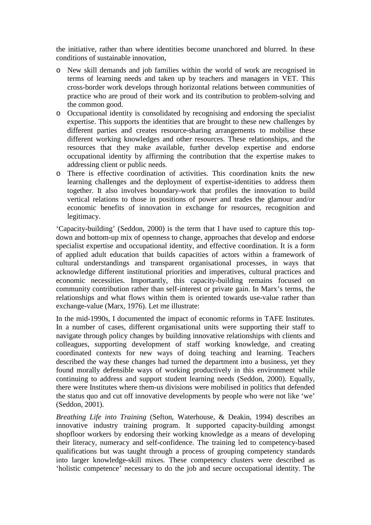the initiative, rather than where identities become unanchored and blurred. In these conditions of sustainable innovation,

- o New skill demands and job families within the world of work are recognised in terms of learning needs and taken up by teachers and managers in VET. This cross-border work develops through horizontal relations between communities of practice who are proud of their work and its contribution to problem-solving and the common good.
- o Occupational identity is consolidated by recognising and endorsing the specialist expertise. This supports the identities that are brought to these new challenges by different parties and creates resource-sharing arrangements to mobilise these different working knowledges and other resources. These relationships, and the resources that they make available, further develop expertise and endorse occupational identity by affirming the contribution that the expertise makes to addressing client or public needs.
- o There is effective coordination of activities. This coordination knits the new learning challenges and the deployment of expertise-identities to address them together. It also involves boundary-work that profiles the innovation to build vertical relations to those in positions of power and trades the glamour and/or economic benefits of innovation in exchange for resources, recognition and legitimacy.

'Capacity-building' (Seddon, 2000) is the term that I have used to capture this topdown and bottom-up mix of openness to change, approaches that develop and endorse specialist expertise and occupational identity, and effective coordination. It is a form of applied adult education that builds capacities of actors within a framework of cultural understandings and transparent organisational processes, in ways that acknowledge different institutional priorities and imperatives, cultural practices and economic necessities. Importantly, this capacity-building remains focused on community contribution rather than self-interest or private gain. In Marx's terms, the relationships and what flows within them is oriented towards use-value rather than exchange-value (Marx, 1976). Let me illustrate:

In the mid-1990s, I documented the impact of economic reforms in TAFE Institutes. In a number of cases, different organisational units were supporting their staff to navigate through policy changes by building innovative relationships with clients and colleagues, supporting development of staff working knowledge, and creating coordinated contexts for new ways of doing teaching and learning. Teachers described the way these changes had turned the department into a business, yet they found morally defensible ways of working productively in this environment while continuing to address and support student learning needs (Seddon, 2000). Equally, there were Institutes where them-us divisions were mobilised in politics that defended the status quo and cut off innovative developments by people who were not like 'we' (Seddon, 2001).

*Breathing Life into Training* (Sefton, Waterhouse, & Deakin, 1994) describes an innovative industry training program. It supported capacity-building amongst shopfloor workers by endorsing their working knowledge as a means of developing their literacy, numeracy and self-confidence. The training led to competency-based qualifications but was taught through a process of grouping competency standards into larger knowledge-skill mixes. These competency clusters were described as 'holistic competence' necessary to do the job and secure occupational identity. The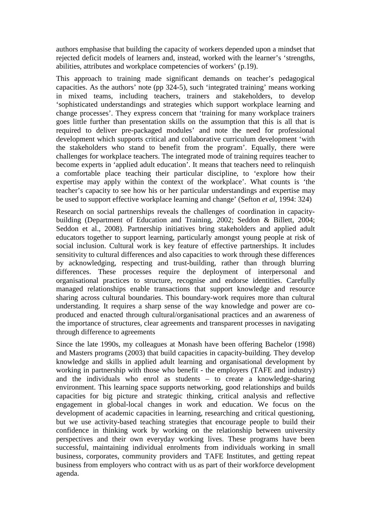authors emphasise that building the capacity of workers depended upon a mindset that rejected deficit models of learners and, instead, worked with the learner's 'strengths, abilities, attributes and workplace competencies of workers' (p.19).

This approach to training made significant demands on teacher's pedagogical capacities. As the authors' note (pp 324-5), such 'integrated training' means working in mixed teams, including teachers, trainers and stakeholders, to develop 'sophisticated understandings and strategies which support workplace learning and change processes'. They express concern that 'training for many workplace trainers goes little further than presentation skills on the assumption that this is all that is required to deliver pre-packaged modules' and note the need for professional development which supports critical and collaborative curriculum development 'with the stakeholders who stand to benefit from the program'. Equally, there were challenges for workplace teachers. The integrated mode of training requires teacher to become experts in 'applied adult education'. It means that teachers need to relinquish a comfortable place teaching their particular discipline, to 'explore how their expertise may apply within the context of the workplace'. What counts is 'the teacher's capacity to see how his or her particular understandings and expertise may be used to support effective workplace learning and change' (Sefton *et al*, 1994: 324)

Research on social partnerships reveals the challenges of coordination in capacitybuilding (Department of Education and Training, 2002; Seddon & Billett, 2004; Seddon et al., 2008). Partnership initiatives bring stakeholders and applied adult educators together to support learning, particularly amongst young people at risk of social inclusion. Cultural work is key feature of effective partnerships. It includes sensitivity to cultural differences and also capacities to work through these differences by acknowledging, respecting and trust-building, rather than through blurring differences. These processes require the deployment of interpersonal and organisational practices to structure, recognise and endorse identities. Carefully managed relationships enable transactions that support knowledge and resource sharing across cultural boundaries. This boundary-work requires more than cultural understanding. It requires a sharp sense of the way knowledge and power are coproduced and enacted through cultural/organisational practices and an awareness of the importance of structures, clear agreements and transparent processes in navigating through difference to agreements

Since the late 1990s, my colleagues at Monash have been offering Bachelor (1998) and Masters programs (2003) that build capacities in capacity-building. They develop knowledge and skills in applied adult learning and organisational development by working in partnership with those who benefit - the employers (TAFE and industry) and the individuals who enrol as students – to create a knowledge-sharing environment. This learning space supports networking, good relationships and builds capacities for big picture and strategic thinking, critical analysis and reflective engagement in global-local changes in work and education. We focus on the development of academic capacities in learning, researching and critical questioning, but we use activity-based teaching strategies that encourage people to build their confidence in thinking work by working on the relationship between university perspectives and their own everyday working lives. These programs have been successful, maintaining individual enrolments from individuals working in small business, corporates, community providers and TAFE Institutes, and getting repeat business from employers who contract with us as part of their workforce development agenda.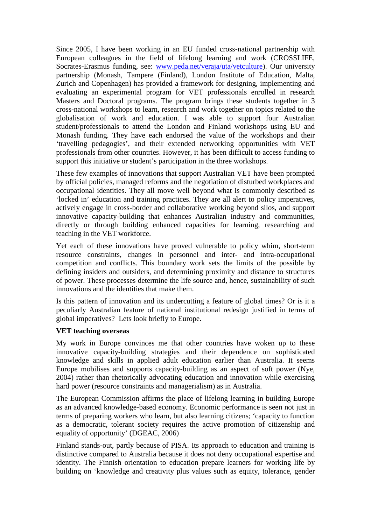Since 2005, I have been working in an EU funded cross-national partnership with European colleagues in the field of lifelong learning and work (CROSSLIFE, Socrates-Erasmus funding, see: www.peda.net/veraja/uta/vetculture). Our university partnership (Monash, Tampere (Finland), London Institute of Education, Malta, Zurich and Copenhagen) has provided a framework for designing, implementing and evaluating an experimental program for VET professionals enrolled in research Masters and Doctoral programs. The program brings these students together in 3 cross-national workshops to learn, research and work together on topics related to the globalisation of work and education. I was able to support four Australian student/professionals to attend the London and Finland workshops using EU and Monash funding. They have each endorsed the value of the workshops and their 'travelling pedagogies', and their extended networking opportunities with VET professionals from other countries. However, it has been difficult to access funding to support this initiative or student's participation in the three workshops.

These few examples of innovations that support Australian VET have been prompted by official policies, managed reforms and the negotiation of disturbed workplaces and occupational identities. They all move well beyond what is commonly described as 'locked in' education and training practices. They are all alert to policy imperatives, actively engage in cross-border and collaborative working beyond silos, and support innovative capacity-building that enhances Australian industry and communities, directly or through building enhanced capacities for learning, researching and teaching in the VET workforce.

Yet each of these innovations have proved vulnerable to policy whim, short-term resource constraints, changes in personnel and inter- and intra-occupational competition and conflicts. This boundary work sets the limits of the possible by defining insiders and outsiders, and determining proximity and distance to structures of power. These processes determine the life source and, hence, sustainability of such innovations and the identities that make them.

Is this pattern of innovation and its undercutting a feature of global times? Or is it a peculiarly Australian feature of national institutional redesign justified in terms of global imperatives? Lets look briefly to Europe.

#### **VET teaching overseas**

My work in Europe convinces me that other countries have woken up to these innovative capacity-building strategies and their dependence on sophisticated knowledge and skills in applied adult education earlier than Australia. It seems Europe mobilises and supports capacity-building as an aspect of soft power (Nye, 2004) rather than rhetorically advocating education and innovation while exercising hard power (resource constraints and managerialism) as in Australia.

The European Commission affirms the place of lifelong learning in building Europe as an advanced knowledge-based economy. Economic performance is seen not just in terms of preparing workers who learn, but also learning citizens; 'capacity to function as a democratic, tolerant society requires the active promotion of citizenship and equality of opportunity' (DGEAC, 2006)

Finland stands-out, partly because of PISA. Its approach to education and training is distinctive compared to Australia because it does not deny occupational expertise and identity. The Finnish orientation to education prepare learners for working life by building on 'knowledge and creativity plus values such as equity, tolerance, gender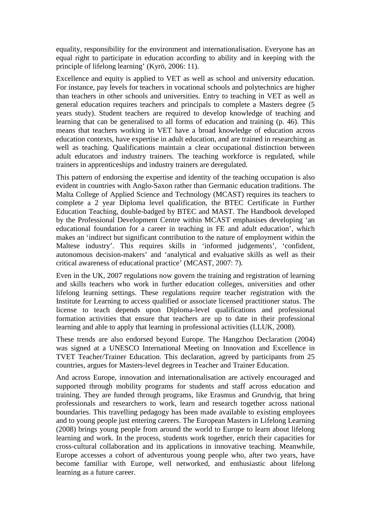equality, responsibility for the environment and internationalisation. Everyone has an equal right to participate in education according to ability and in keeping with the principle of lifelong learning' (Kyrö, 2006: 11).

Excellence and equity is applied to VET as well as school and university education. For instance, pay levels for teachers in vocational schools and polytechnics are higher than teachers in other schools and universities. Entry to teaching in VET as well as general education requires teachers and principals to complete a Masters degree (5 years study). Student teachers are required to develop knowledge of teaching and learning that can be generalised to all forms of education and training (p. 46). This means that teachers working in VET have a broad knowledge of education across education contexts, have expertise in adult education, and are trained in researching as well as teaching. Qualifications maintain a clear occupational distinction between adult educators and industry trainers. The teaching workforce is regulated, while trainers in apprenticeships and industry trainers are deregulated.

This pattern of endorsing the expertise and identity of the teaching occupation is also evident in countries with Anglo-Saxon rather than Germanic education traditions. The Malta College of Applied Science and Technology (MCAST) requires its teachers to complete a 2 year Diploma level qualification, the BTEC Certificate in Further Education Teaching, double-badged by BTEC and MAST. The Handbook developed by the Professional Development Centre within MCAST emphasises developing 'an educational foundation for a career in teaching in FE and adult education', which makes an 'indirect but significant contribution to the nature of employment within the Maltese industry'. This requires skills in 'informed judgements', 'confident, autonomous decision-makers' and 'analytical and evaluative skills as well as their critical awareness of educational practice' (MCAST, 2007: 7).

Even in the UK, 2007 regulations now govern the training and registration of learning and skills teachers who work in further education colleges, universities and other lifelong learning settings. These regulations require teacher registration with the Institute for Learning to access qualified or associate licensed practitioner status. The license to teach depends upon Diploma-level qualifications and professional formation activities that ensure that teachers are up to date in their professional learning and able to apply that learning in professional activities (LLUK, 2008).

These trends are also endorsed beyond Europe. The Hangzhou Declaration (2004) was signed at a UNESCO International Meeting on Innovation and Excellence in TVET Teacher/Trainer Education. This declaration, agreed by participants from 25 countries, argues for Masters-level degrees in Teacher and Trainer Education.

And across Europe, innovation and internationalisation are actively encouraged and supported through mobility programs for students and staff across education and training. They are funded through programs, like Erasmus and Grundvig, that bring professionals and researchers to work, learn and research together across national boundaries. This travelling pedagogy has been made available to existing employees and to young people just entering careers. The European Masters in Lifelong Learning (2008) brings young people from around the world to Europe to learn about lifelong learning and work. In the process, students work together, enrich their capacities for cross-cultural collaboration and its applications in innovative teaching. Meanwhile, Europe accesses a cohort of adventurous young people who, after two years, have become familiar with Europe, well networked, and enthusiastic about lifelong learning as a future career.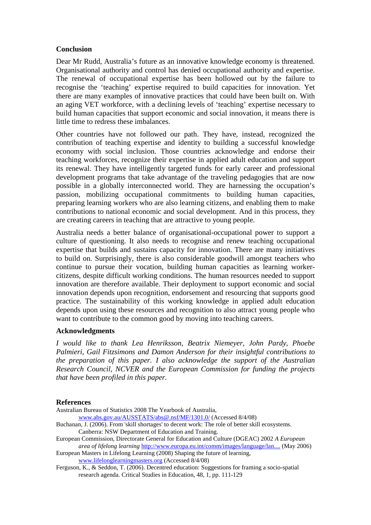#### **Conclusion**

Dear Mr Rudd, Australia's future as an innovative knowledge economy is threatened. Organisational authority and control has denied occupational authority and expertise. The renewal of occupational expertise has been hollowed out by the failure to recognise the 'teaching' expertise required to build capacities for innovation. Yet there are many examples of innovative practices that could have been built on. With an aging VET workforce, with a declining levels of 'teaching' expertise necessary to build human capacities that support economic and social innovation, it means there is little time to redress these imbalances.

Other countries have not followed our path. They have, instead, recognized the contribution of teaching expertise and identity to building a successful knowledge economy with social inclusion. Those countries acknowledge and endorse their teaching workforces, recognize their expertise in applied adult education and support its renewal. They have intelligently targeted funds for early career and professional development programs that take advantage of the traveling pedagogies that are now possible in a globally interconnected world. They are harnessing the occupation's passion, mobilizing occupational commitments to building human capacities, preparing learning workers who are also learning citizens, and enabling them to make contributions to national economic and social development. And in this process, they are creating careers in teaching that are attractive to young people.

Australia needs a better balance of organisational-occupational power to support a culture of questioning. It also needs to recognise and renew teaching occupational expertise that builds and sustains capacity for innovation. There are many initiatives to build on. Surprisingly, there is also considerable goodwill amongst teachers who continue to pursue their vocation, building human capacities as learning workercitizens, despite difficult working conditions. The human resources needed to support innovation are therefore available. Their deployment to support economic and social innovation depends upon recognition, endorsement and resourcing that supports good practice. The sustainability of this working knowledge in applied adult education depends upon using these resources and recognition to also attract young people who want to contribute to the common good by moving into teaching careers.

#### **Acknowledgments**

*I would like to thank Lea Henriksson, Beatrix Niemeyer, John Pardy, Phoebe Palmieri, Gail Fitzsimons and Damon Anderson for their insightful contributions to the preparation of this paper. I also acknowledge the support of the Australian Research Council, NCVER and the European Commission for funding the projects that have been profiled in this paper.* 

#### **References**

Australian Bureau of Statistics 2008 The Yearbook of Australia,

www.abs.gov.au/AUSSTATS/abs@.nsf/MF/1301.0/ (Accessed 8/4/08)

Buchanan, J. (2006). From 'skill shortages' to decent work: The role of better skill ecosystems. Canberra: NSW Department of Education and Training.

European Commission, Directorate General for Education and Culture (DGEAC) 2002 *A European area of lifelong learning* http://www.europa.eu.int/comm/images/language/lan.... (May 2006)

European Masters in Lifelong Learning (2008) Shaping the future of learning, www.lifelonglearningmasters.org (Accessed 8/4/08)

Ferguson, K., & Seddon, T. (2006). Decentred education: Suggestions for framing a socio-spatial research agenda. Critical Studies in Education, 48, 1, pp. 111-129